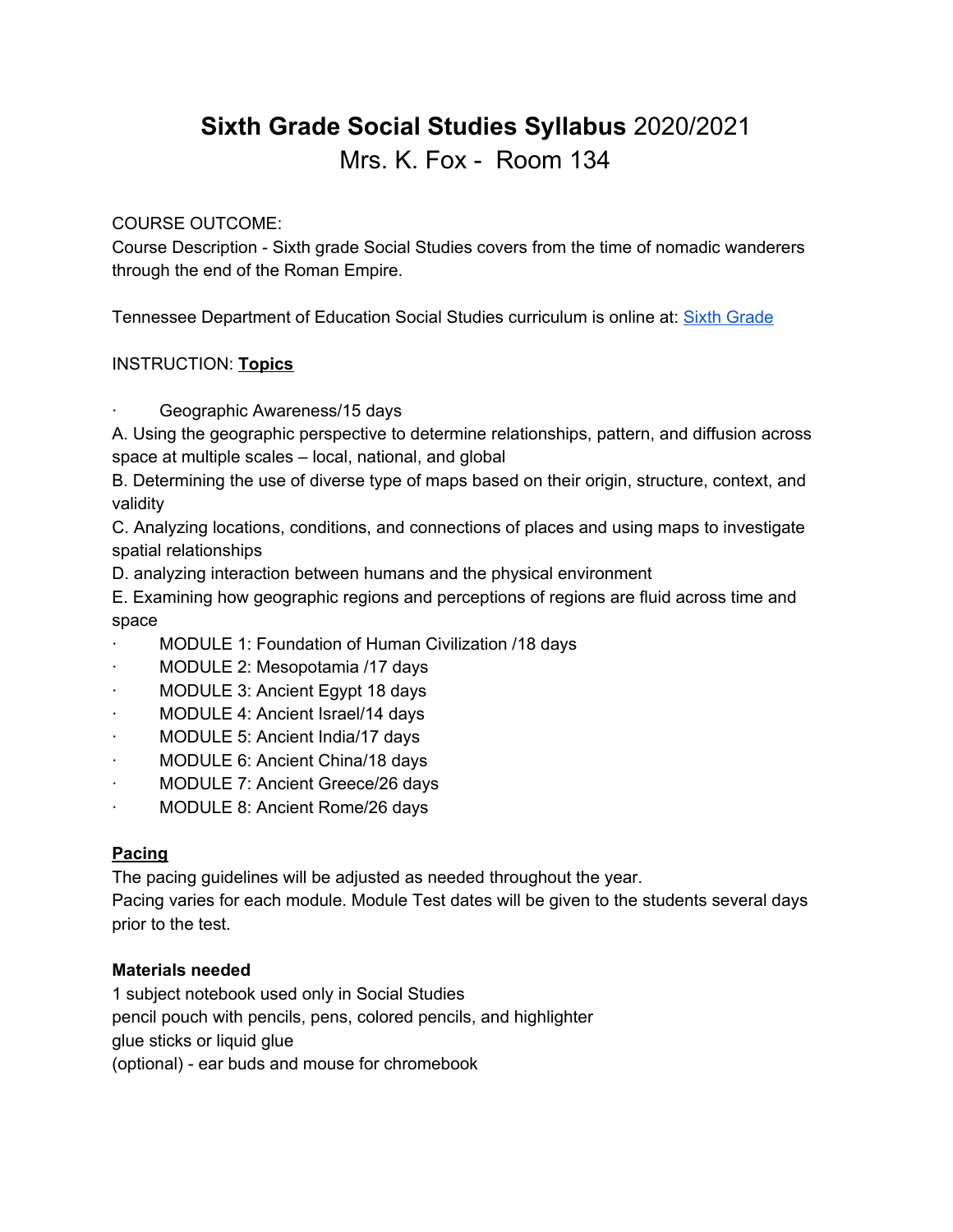# **Sixth Grade Social Studies Syllabus** 2020/2021 Mrs. K. Fox - Room 134

## COURSE OUTCOME:

Course Description - Sixth grade Social Studies covers from the time of nomadic wanderers through the end of the Roman Empire.

Tennessee Department of Education Social Studies curriculum is online at: Sixth [Grade](https://www.tn.gov/content/dam/tn/education/standards/ss/std_ss_gr_6.pdf)

## INSTRUCTION: **Topics**

Geographic Awareness/15 days

A. Using the geographic perspective to determine relationships, pattern, and diffusion across space at multiple scales – local, national, and global

B. Determining the use of diverse type of maps based on their origin, structure, context, and validity

C. Analyzing locations, conditions, and connections of places and using maps to investigate spatial relationships

D. analyzing interaction between humans and the physical environment

E. Examining how geographic regions and perceptions of regions are fluid across time and space

- MODULE 1: Foundation of Human Civilization /18 days
- MODULE 2: Mesopotamia /17 days
- MODULE 3: Ancient Egypt 18 days
- MODULE 4: Ancient Israel/14 days
- MODULE 5: Ancient India/17 days
- MODULE 6: Ancient China/18 days
- · MODULE 7: Ancient Greece/26 days
- · MODULE 8: Ancient Rome/26 days

## **Pacing**

The pacing guidelines will be adjusted as needed throughout the year.

Pacing varies for each module. Module Test dates will be given to the students several days prior to the test.

## **Materials needed**

1 subject notebook used only in Social Studies pencil pouch with pencils, pens, colored pencils, and highlighter glue sticks or liquid glue (optional) - ear buds and mouse for chromebook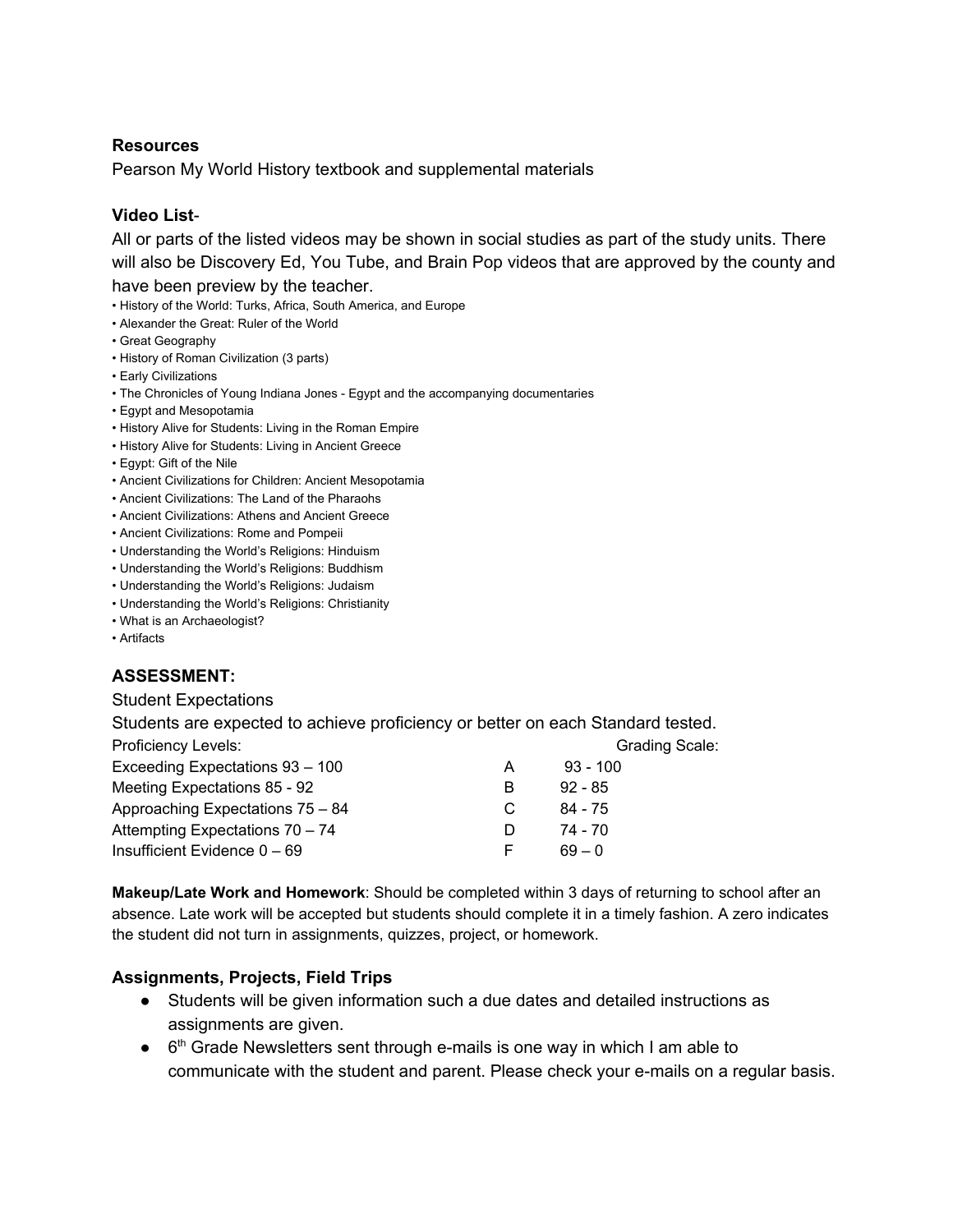#### **Resources**

Pearson My World History textbook and supplemental materials

#### **Video List**-

All or parts of the listed videos may be shown in social studies as part of the study units. There will also be Discovery Ed, You Tube, and Brain Pop videos that are approved by the county and have been preview by the teacher.

- History of the World: Turks, Africa, South America, and Europe
- Alexander the Great: Ruler of the World
- Great Geography
- History of Roman Civilization (3 parts)
- Early Civilizations
- The Chronicles of Young Indiana Jones Egypt and the accompanying documentaries
- Egypt and Mesopotamia
- History Alive for Students: Living in the Roman Empire
- History Alive for Students: Living in Ancient Greece
- Egypt: Gift of the Nile
- Ancient Civilizations for Children: Ancient Mesopotamia
- Ancient Civilizations: The Land of the Pharaohs
- Ancient Civilizations: Athens and Ancient Greece
- Ancient Civilizations: Rome and Pompeii
- Understanding the World's Religions: Hinduism
- Understanding the World's Religions: Buddhism
- Understanding the World's Religions: Judaism
- Understanding the World's Religions: Christianity
- What is an Archaeologist?
- Artifacts

# **ASSESSMENT:**

#### Student Expectations

Students are expected to achieve proficiency or better on each Standard tested.

| Proficiency Levels:              |              | <b>Grading Scale:</b> |
|----------------------------------|--------------|-----------------------|
| Exceeding Expectations 93 - 100  | A            | $93 - 100$            |
| Meeting Expectations 85 - 92     | В            | $92 - 85$             |
| Approaching Expectations 75 - 84 |              | 84 - 75               |
| Attempting Expectations 70 - 74  | $\mathbf{D}$ | 74 - 70               |
| Insufficient Evidence $0 - 69$   | E.           | 69 – 0                |

**Makeup/Late Work and Homework**: Should be completed within 3 days of returning to school after an absence. Late work will be accepted but students should complete it in a timely fashion. A zero indicates the student did not turn in assignments, quizzes, project, or homework.

## **Assignments, Projects, Field Trips**

- Students will be given information such a due dates and detailed instructions as assignments are given.
- $\bullet$  6<sup>th</sup> Grade Newsletters sent through e-mails is one way in which I am able to communicate with the student and parent. Please check your e-mails on a regular basis.